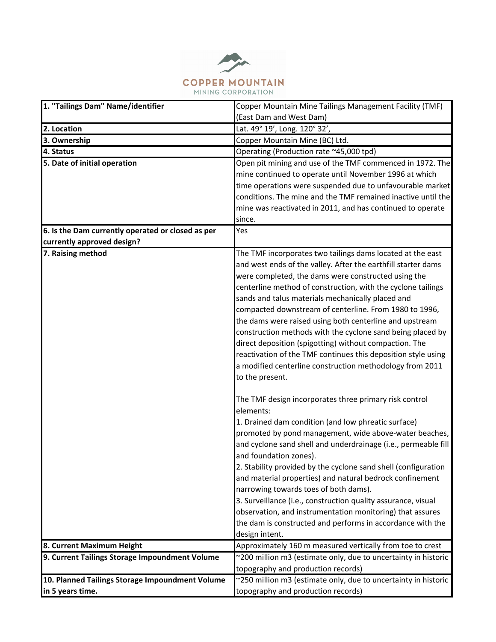

| 1. "Tailings Dam" Name/identifier                                           | Copper Mountain Mine Tailings Management Facility (TMF)                                                                 |
|-----------------------------------------------------------------------------|-------------------------------------------------------------------------------------------------------------------------|
|                                                                             | (East Dam and West Dam)                                                                                                 |
| 2. Location                                                                 | Lat. 49° 19', Long. 120° 32',                                                                                           |
| 3. Ownership                                                                | Copper Mountain Mine (BC) Ltd.                                                                                          |
| 4. Status                                                                   | Operating (Production rate ~45,000 tpd)                                                                                 |
| 5. Date of initial operation                                                | Open pit mining and use of the TMF commenced in 1972. The                                                               |
|                                                                             | mine continued to operate until November 1996 at which                                                                  |
|                                                                             | time operations were suspended due to unfavourable market                                                               |
|                                                                             | conditions. The mine and the TMF remained inactive until the                                                            |
|                                                                             | mine was reactivated in 2011, and has continued to operate                                                              |
|                                                                             | since.                                                                                                                  |
| 6. Is the Dam currently operated or closed as per                           | Yes                                                                                                                     |
| currently approved design?                                                  |                                                                                                                         |
| 7. Raising method                                                           | The TMF incorporates two tailings dams located at the east                                                              |
|                                                                             | and west ends of the valley. After the earthfill starter dams                                                           |
|                                                                             | were completed, the dams were constructed using the                                                                     |
|                                                                             | centerline method of construction, with the cyclone tailings                                                            |
|                                                                             | sands and talus materials mechanically placed and                                                                       |
|                                                                             | compacted downstream of centerline. From 1980 to 1996,                                                                  |
|                                                                             | the dams were raised using both centerline and upstream                                                                 |
|                                                                             | construction methods with the cyclone sand being placed by                                                              |
|                                                                             | direct deposition (spigotting) without compaction. The                                                                  |
|                                                                             | reactivation of the TMF continues this deposition style using                                                           |
|                                                                             | a modified centerline construction methodology from 2011                                                                |
|                                                                             | to the present.                                                                                                         |
|                                                                             |                                                                                                                         |
|                                                                             | The TMF design incorporates three primary risk control<br>elements:                                                     |
|                                                                             |                                                                                                                         |
|                                                                             | 1. Drained dam condition (and low phreatic surface)<br>promoted by pond management, wide above-water beaches,           |
|                                                                             |                                                                                                                         |
|                                                                             | and cyclone sand shell and underdrainage (i.e., permeable fill<br>and foundation zones).                                |
|                                                                             | 2. Stability provided by the cyclone sand shell (configuration                                                          |
|                                                                             |                                                                                                                         |
|                                                                             | and material properties) and natural bedrock confinement<br>narrowing towards toes of both dams).                       |
|                                                                             |                                                                                                                         |
|                                                                             | 3. Surveillance (i.e., construction quality assurance, visual                                                           |
|                                                                             | observation, and instrumentation monitoring) that assures<br>the dam is constructed and performs in accordance with the |
|                                                                             |                                                                                                                         |
|                                                                             | design intent.<br>Approximately 160 m measured vertically from toe to crest                                             |
| 8. Current Maximum Height<br>9. Current Tailings Storage Impoundment Volume | ~200 million m3 (estimate only, due to uncertainty in historic                                                          |
|                                                                             | topography and production records)                                                                                      |
| 10. Planned Tailings Storage Impoundment Volume                             | ~250 million m3 (estimate only, due to uncertainty in historic                                                          |
| in 5 years time.                                                            |                                                                                                                         |
|                                                                             | topography and production records)                                                                                      |